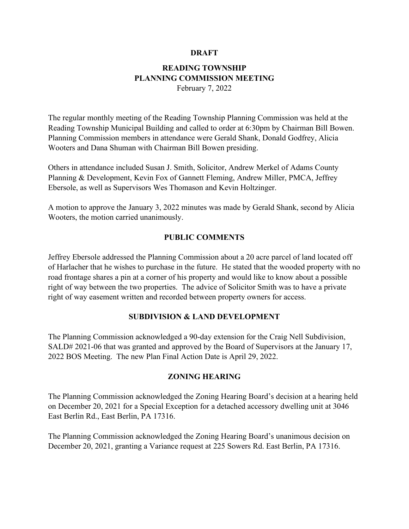### **DRAFT**

# **READING TOWNSHIP PLANNING COMMISSION MEETING**

February 7, 2022

The regular monthly meeting of the Reading Township Planning Commission was held at the Reading Township Municipal Building and called to order at 6:30pm by Chairman Bill Bowen. Planning Commission members in attendance were Gerald Shank, Donald Godfrey, Alicia Wooters and Dana Shuman with Chairman Bill Bowen presiding.

Others in attendance included Susan J. Smith, Solicitor, Andrew Merkel of Adams County Planning & Development, Kevin Fox of Gannett Fleming, Andrew Miller, PMCA, Jeffrey Ebersole, as well as Supervisors Wes Thomason and Kevin Holtzinger.

A motion to approve the January 3, 2022 minutes was made by Gerald Shank, second by Alicia Wooters, the motion carried unanimously.

## **PUBLIC COMMENTS**

Jeffrey Ebersole addressed the Planning Commission about a 20 acre parcel of land located off of Harlacher that he wishes to purchase in the future. He stated that the wooded property with no road frontage shares a pin at a corner of his property and would like to know about a possible right of way between the two properties. The advice of Solicitor Smith was to have a private right of way easement written and recorded between property owners for access.

## **SUBDIVISION & LAND DEVELOPMENT**

The Planning Commission acknowledged a 90-day extension for the Craig Nell Subdivision, SALD# 2021-06 that was granted and approved by the Board of Supervisors at the January 17, 2022 BOS Meeting. The new Plan Final Action Date is April 29, 2022.

## **ZONING HEARING**

The Planning Commission acknowledged the Zoning Hearing Board's decision at a hearing held on December 20, 2021 for a Special Exception for a detached accessory dwelling unit at 3046 East Berlin Rd., East Berlin, PA 17316.

The Planning Commission acknowledged the Zoning Hearing Board's unanimous decision on December 20, 2021, granting a Variance request at 225 Sowers Rd. East Berlin, PA 17316.